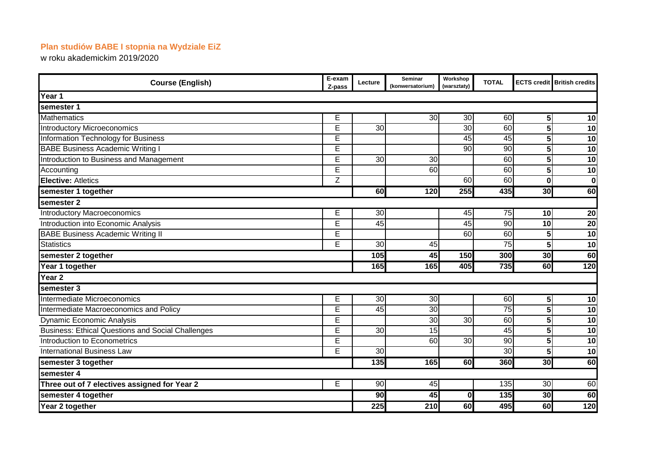## **Plan studiów BABE I stopnia na Wydziale EiZ**

w roku akademickim 2019/2020

| <b>Course (English)</b>                                  | E-exam<br>Z-pass | Lecture         | Seminar<br>(konwersatorium) | Workshop<br>(warsztaty) | <b>TOTAL</b>    |                         | <b>ECTS credit British credits</b> |  |  |  |  |
|----------------------------------------------------------|------------------|-----------------|-----------------------------|-------------------------|-----------------|-------------------------|------------------------------------|--|--|--|--|
| Year 1                                                   |                  |                 |                             |                         |                 |                         |                                    |  |  |  |  |
| semester 1                                               |                  |                 |                             |                         |                 |                         |                                    |  |  |  |  |
| <b>Mathematics</b>                                       | Ē                |                 | 30                          | $\overline{30}$         | $\overline{60}$ | $\sqrt{5}$              | $\overline{10}$                    |  |  |  |  |
| <b>Introductory Microeconomics</b>                       | E                | 30              |                             | 30                      | 60              | 5                       | 10                                 |  |  |  |  |
| Information Technology for Business                      | Ē                |                 |                             | 45                      | 45              | 5                       | 10                                 |  |  |  |  |
| <b>BABE Business Academic Writing I</b>                  | Ē                |                 |                             | $\overline{90}$         | $\overline{90}$ | 5                       | $\overline{10}$                    |  |  |  |  |
| Introduction to Business and Management                  | E                | 30              | 30                          |                         | 60              | 5                       | 10                                 |  |  |  |  |
| Accounting                                               | Ē                |                 | 60                          |                         | 60              | 5                       | 10                                 |  |  |  |  |
| <b>Elective: Atletics</b>                                | Z                |                 |                             | 60                      | 60              | $\bf{0}$                | $\bf{0}$                           |  |  |  |  |
| semester 1 together                                      |                  | 60              | 120                         | 255                     | 435             | 30                      | 60                                 |  |  |  |  |
| semester <sub>2</sub>                                    |                  |                 |                             |                         |                 |                         |                                    |  |  |  |  |
| <b>Introductory Macroeconomics</b>                       | E                | 30              |                             | 45                      | 75              | 10 <sup>1</sup>         | 20                                 |  |  |  |  |
| Introduction into Economic Analysis                      | E                | 45              |                             | 45                      | $\overline{90}$ | 10                      | $\overline{20}$                    |  |  |  |  |
| <b>BABE Business Academic Writing II</b>                 | E                |                 |                             | 60                      | 60              | 5                       | $\overline{10}$                    |  |  |  |  |
| <b>Statistics</b>                                        | Ē                | 30              | 45                          |                         | 75              | 5                       | 10                                 |  |  |  |  |
| semester 2 together                                      |                  | 105             | $\overline{45}$             | 150                     | 300             | 30                      | 60                                 |  |  |  |  |
| Year 1 together                                          |                  | 165             | 165                         | 405                     | 735             | 60                      | 120                                |  |  |  |  |
| Year <sub>2</sub>                                        |                  |                 |                             |                         |                 |                         |                                    |  |  |  |  |
| semester 3                                               |                  |                 |                             |                         |                 |                         |                                    |  |  |  |  |
| Intermediate Microeconomics                              | E                | 30              | $\overline{30}$             |                         | $\overline{60}$ | $\overline{\mathbf{5}}$ | 10                                 |  |  |  |  |
| Intermediate Macroeconomics and Policy                   | Ē                | 45              | $\overline{30}$             |                         | 75              | 5                       | $\overline{10}$                    |  |  |  |  |
| <b>Dynamic Economic Analysis</b>                         | E                |                 | 30                          | 30                      | 60              | 5                       | 10                                 |  |  |  |  |
| <b>Business: Ethical Questions and Social Challenges</b> | Ē                | 30              | 15                          |                         | 45              | 5                       | 10                                 |  |  |  |  |
| Introduction to Econometrics                             | Ē                |                 | 60                          | 30                      | 90              | 5                       | $\overline{10}$                    |  |  |  |  |
| <b>International Business Law</b>                        | $\overline{E}$   | 30              |                             |                         | 30              | $\overline{\mathbf{5}}$ | $\overline{10}$                    |  |  |  |  |
| semester 3 together                                      |                  | 135             | 165                         | 60                      | 360             | 30                      | 60                                 |  |  |  |  |
| semester 4                                               |                  |                 |                             |                         |                 |                         |                                    |  |  |  |  |
| Three out of 7 electives assigned for Year 2             | Е                | 90              | 45                          |                         | 135             | 30                      | 60                                 |  |  |  |  |
| semester 4 together                                      |                  | $\overline{90}$ | 45                          | 0                       | 135             | 30                      | 60                                 |  |  |  |  |
| Year 2 together                                          |                  | 225             | 210                         | 60                      | 495             | 60                      | 120                                |  |  |  |  |